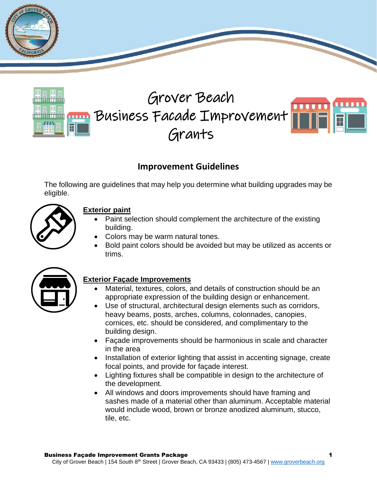



# **Improvement Guidelines**

The following are guidelines that may help you determine what building upgrades may be eligible.



# **Exterior paint**

- Paint selection should complement the architecture of the existing building.
- Colors may be warm natural tones.
- Bold paint colors should be avoided but may be utilized as accents or trims.



### **Exterior Façade Improvements**

- Material, textures, colors, and details of construction should be an appropriate expression of the building design or enhancement.
- Use of structural, architectural design elements such as corridors, heavy beams, posts, arches, columns, colonnades, canopies, cornices, etc. should be considered, and complimentary to the building design.
- Façade improvements should be harmonious in scale and character in the area
- Installation of exterior lighting that assist in accenting signage, create focal points, and provide for façade interest.
- Lighting fixtures shall be compatible in design to the architecture of the development.
- All windows and doors improvements should have framing and sashes made of a material other than aluminum. Acceptable material would include wood, brown or bronze anodized aluminum, stucco, tile, etc.